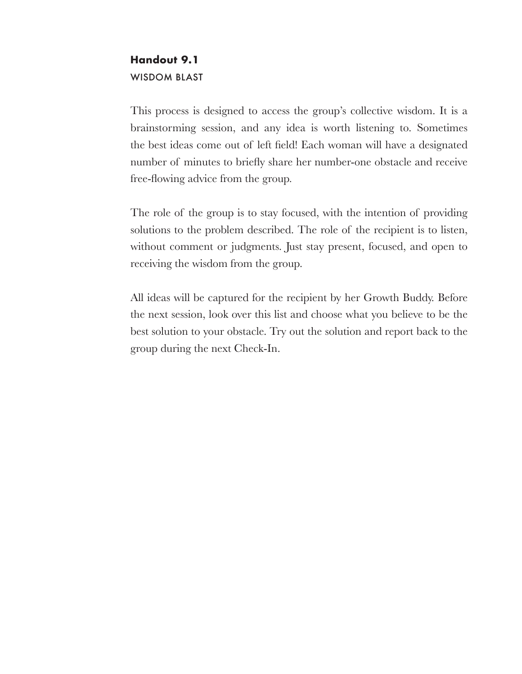## **Handout 9.1** WISDOM BLAST

This process is designed to access the group's collective wisdom. It is a brainstorming session, and any idea is worth listening to. Sometimes the best ideas come out of left field! Each woman will have a designated number of minutes to briefly share her number-one obstacle and receive free-flowing advice from the group.

The role of the group is to stay focused, with the intention of providing solutions to the problem described. The role of the recipient is to listen, without comment or judgments. Just stay present, focused, and open to receiving the wisdom from the group.

All ideas will be captured for the recipient by her Growth Buddy. Before the next session, look over this list and choose what you believe to be the best solution to your obstacle. Try out the solution and report back to the group during the next Check-In.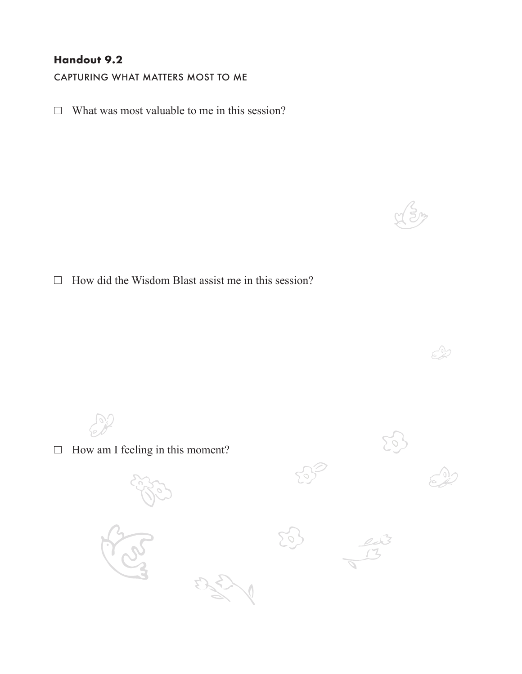### **Handout 9.2**

CAPTURING WHAT MATTERS MOST TO ME

 $\Box$  What was most valuable to me in this session?

 $\Box$  How did the Wisdom Blast assist me in this session?

 $\mathcal{L}$  $\Box$  How am I feeling in this moment?  $\leq$ 

ED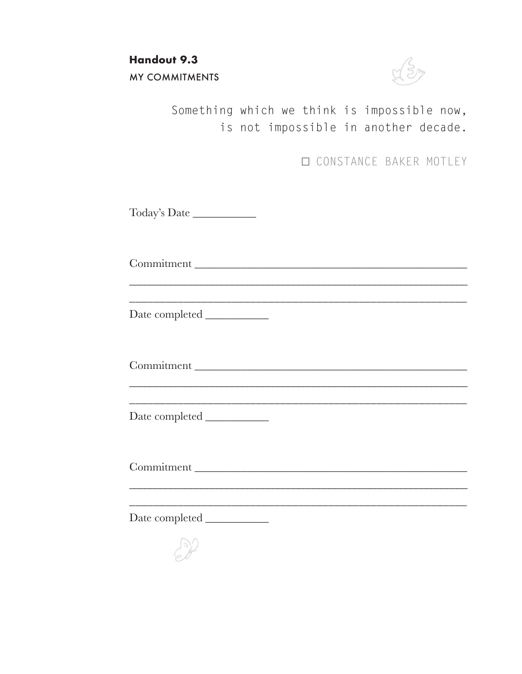**Handout 9.3** MY COMMITMENTS



Something which we think is impossible now, is not impossible in another decade.

**CONSTANCE BAKER MOTLEY** 

Today's Date \_\_\_\_\_\_\_\_\_\_\_

Commitment \_\_\_\_\_\_\_\_\_\_\_\_\_\_\_\_\_\_\_\_\_\_\_\_\_\_\_\_\_\_\_\_\_\_\_\_\_\_\_\_\_\_\_\_\_\_\_

\_\_\_\_\_\_\_\_\_\_\_\_\_\_\_\_\_\_\_\_\_\_\_\_\_\_\_\_\_\_\_\_\_\_\_\_\_\_\_\_\_\_\_\_\_\_\_\_\_\_\_\_\_\_\_\_

\_\_\_\_\_\_\_\_\_\_\_\_\_\_\_\_\_\_\_\_\_\_\_\_\_\_\_\_\_\_\_\_\_\_\_\_\_\_\_\_\_\_\_\_\_\_\_\_\_\_\_\_\_\_\_\_\_\_\_\_\_\_\_\_\_\_

Date completed \_\_\_\_\_\_\_\_\_\_\_

Commitment

\_\_\_\_\_\_\_\_\_\_\_\_\_\_\_\_\_\_\_\_\_\_\_\_\_\_\_\_\_\_\_\_\_\_\_\_\_\_\_\_\_\_\_\_\_\_\_\_\_\_\_\_\_\_\_\_\_\_\_\_\_\_\_\_\_\_ \_\_\_\_\_\_\_\_\_\_\_\_\_\_\_\_\_\_\_\_\_\_\_\_\_\_\_\_\_\_\_\_\_\_\_\_\_\_\_\_\_\_\_\_\_\_\_\_\_\_\_\_\_\_\_\_

\_\_\_\_\_\_\_\_\_\_\_\_\_\_\_\_\_\_\_\_\_\_\_\_\_\_\_\_\_\_\_\_\_\_\_\_\_\_\_\_\_\_\_\_\_\_\_\_\_\_\_\_\_\_\_\_\_\_\_\_\_\_\_\_\_\_

\_\_\_\_\_\_\_\_\_\_\_\_\_\_\_\_\_\_\_\_\_\_\_\_\_\_\_\_\_\_\_\_\_\_\_\_\_\_\_\_\_\_\_\_\_\_\_\_\_\_\_\_\_\_\_\_

Date completed \_\_\_\_\_\_\_\_\_\_\_

Commitment \_\_\_\_\_\_\_\_\_\_\_\_\_\_\_\_\_\_\_\_\_\_\_\_\_\_\_\_\_\_\_\_\_\_\_\_\_\_\_\_\_\_\_\_\_\_\_

Date completed \_\_\_\_\_\_\_\_\_\_\_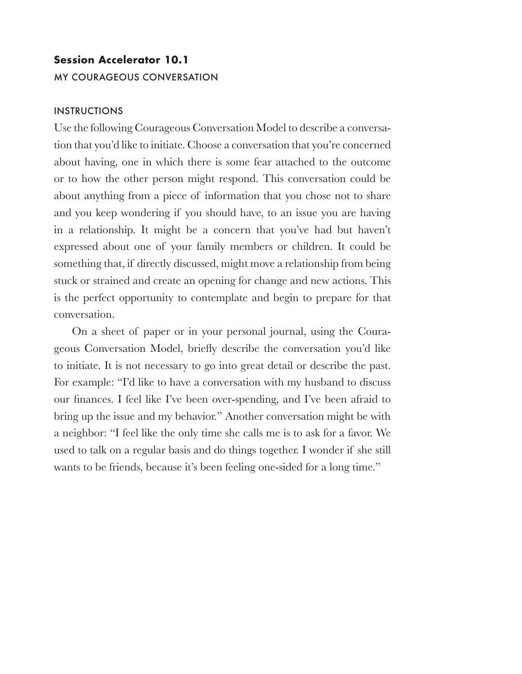# **Session Accelerator 10.1 MY COURAGEOUS CONVERSATION**

#### **INSTRUCTIONS**

Use the following Courageous Conversation Model to describe a conversation that you'd like to initiate. Choose a conversation that you're concerned about having, one in which there is some fear attached to the outcome or to how the other person might respond. This conversation could be about anything from a piece of information that you chose not to share and you keep wondering if you should have, to an issue you are having in a relationship. It might be a concern that you've had but haven't expressed about one of your family members or children. It could be something that, if directly discussed, might move a relationship from being stuck or strained and create an opening for change and new actions. This is the perfect opportunity to contemplate and begin to prepare for that conversation.

On a sheet of paper or in your personal journal, using the Courageous Conversation Model, briefly describe the conversation you'd like to initiate. It is not necessary to go into great detail or describe the past. For example: "I'd like to have a conversation with my husband to discuss our finances. I feel like I've been over-spending, and I've been afraid to bring up the issue and my behavior." Another conversation might be with a neighbor: "I feel like the only time she calls me is to ask for a favor. We used to talk on a regular basis and do things together. I wonder if she still wants to be friends, because it's been feeling one-sided for a long time."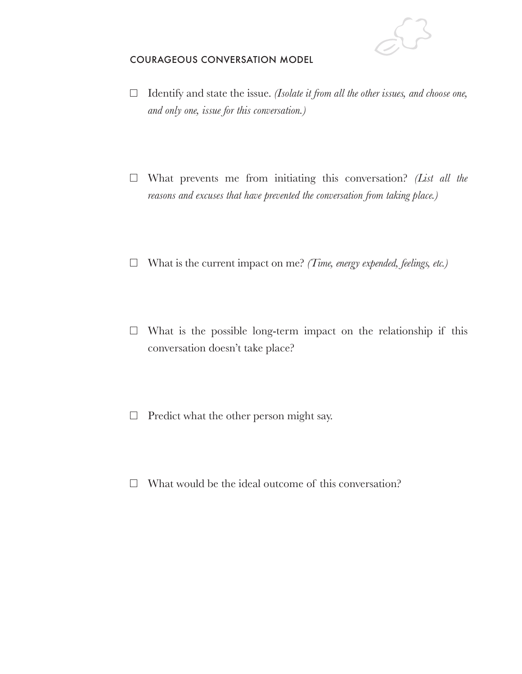

#### COURAGEOUS CONVERSATION MODEL

- Identify and state the issue. *(Isolate it from all the other issues, and choose one, and only one, issue for this conversation.)*
- What prevents me from initiating this conversation? *(List all the reasons and excuses that have prevented the conversation from taking place.)*
- What is the current impact on me? *(Time, energy expended, feelings, etc.)*
- $\Box$  What is the possible long-term impact on the relationship if this conversation doesn't take place?
- $\Box$  Predict what the other person might say.
- $\Box$  What would be the ideal outcome of this conversation?